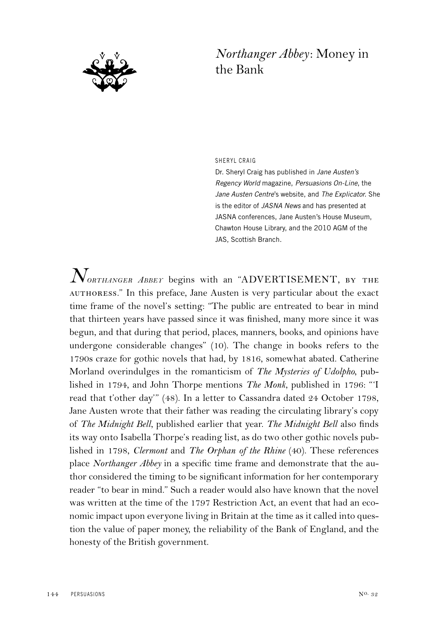

## *Northanger Abbey*: Money in the Bank

SHERYL CRAIG

Dr. Sheryl Craig has published in *Jane Austen's Regency World* magazine, *Persuasions On-Line*, the *Jane Austen Centre*'s website, and *The Explicator.* She is the editor of *JASNA News* and has presented at JASNA conferences, Jane Austen's House Museum, Chawton House Library, and the 2010 AGM of the JAS, Scottish Branch.

 $N_{\tiny{ORTHANGER~ABBET}}$  begins with an "ADVERTISEMENT, by THE AUTHORESS." In this preface, Jane Austen is very particular about the exact time frame of the novel's setting: "The public are entreated to bear in mind that thirteen years have passed since it was finished, many more since it was begun, and that during that period, places, manners, books, and opinions have undergone considerable changes" (10). The change in books refers to the 1790s craze for gothic novels that had, by 1816, somewhat abated. Catherine Morland overindulges in the romanticism of *The Mysteries of Udolpho*, published in 1794, and John Thorpe mentions *The Monk*, published in 1796: "'I read that t'other day'" (48). In a letter to Cassandra dated 24 October 1798, Jane Austen wrote that their father was reading the circulating library's copy of *The Midnight Bell*, published earlier that year. *The Midnight Bell* also finds its way onto Isabella Thorpe's reading list, as do two other gothic novels published in 1798, *Clermont* and *The Orphan of the Rhine* (40). These references place *Northanger Abbey* in a specific time frame and demonstrate that the author considered the timing to be significant information for her contemporary reader "to bear in mind." Such a reader would also have known that the novel was written at the time of the 1797 Restriction Act, an event that had an economic impact upon everyone living in Britain at the time as it called into question the value of paper money, the reliability of the Bank of England, and the honesty of the British government.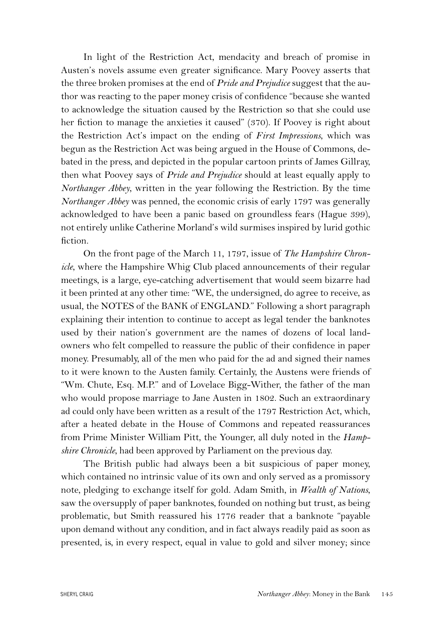In light of the Restriction Act, mendacity and breach of promise in Austen's novels assume even greater significance. Mary Poovey asserts that the three broken promises at the end of *Pride and Prejudice* suggest that the author was reacting to the paper money crisis of confidence "because she wanted to acknowledge the situation caused by the Restriction so that she could use her fiction to manage the anxieties it caused" (370). If Poovey is right about the Restriction Act's impact on the ending of *First Impressions*, which was begun as the Restriction Act was being argued in the House of Commons, debated in the press, and depicted in the popular cartoon prints of James Gillray, then what Poovey says of *Pride and Prejudice* should at least equally apply to *Northanger Abbey*, written in the year following the Restriction. By the time *Northanger Abbey* was penned, the economic crisis of early 1797 was generally acknowledged to have been a panic based on groundless fears (Hague 399), not entirely unlike Catherine Morland's wild surmises inspired by lurid gothic fiction.

On the front page of the March 11, 1797, issue of *The Hampshire Chronicle*, where the Hampshire Whig Club placed announcements of their regular meetings, is a large, eye-catching advertisement that would seem bizarre had it been printed at any other time: "WE, the undersigned, do agree to receive, as usual, the NOTES of the BANK of ENGLAND." Following a short paragraph explaining their intention to continue to accept as legal tender the banknotes used by their nation's government are the names of dozens of local landowners who felt compelled to reassure the public of their confidence in paper money. Presumably, all of the men who paid for the ad and signed their names to it were known to the Austen family. Certainly, the Austens were friends of "Wm. Chute, Esq. M.P." and of Lovelace Bigg-Wither, the father of the man who would propose marriage to Jane Austen in 1802. Such an extraordinary ad could only have been written as a result of the 1797 Restriction Act, which, after a heated debate in the House of Commons and repeated reassurances from Prime Minister William Pitt, the Younger, all duly noted in the *Hampshire Chronicle*, had been approved by Parliament on the previous day.

The British public had always been a bit suspicious of paper money, which contained no intrinsic value of its own and only served as a promissory note, pledging to exchange itself for gold. Adam Smith, in *Wealth of Nations*, saw the oversupply of paper banknotes, founded on nothing but trust, as being problematic, but Smith reassured his 1776 reader that a banknote "payable upon demand without any condition, and in fact always readily paid as soon as presented, is, in every respect, equal in value to gold and silver money; since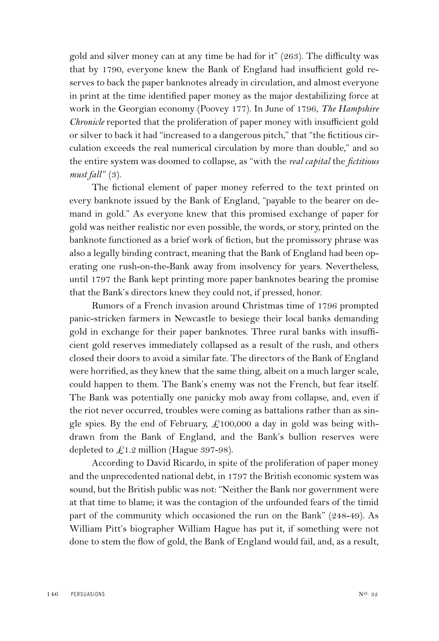gold and silver money can at any time be had for it" (263). The difficulty was that by 1790, everyone knew the Bank of England had insufficient gold reserves to back the paper banknotes already in circulation, and almost everyone in print at the time identified paper money as the major destabilizing force at work in the Georgian economy (Poovey 177). In June of 1796, *The Hampshire Chronicle* reported that the proliferation of paper money with insufficient gold or silver to back it had "increased to a dangerous pitch," that "the fictitious circulation exceeds the real numerical circulation by more than double," and so the entire system was doomed to collapse, as "with the *real capital* the *fictitious must fall*" (3).

The fictional element of paper money referred to the text printed on every banknote issued by the Bank of England, "payable to the bearer on demand in gold." As everyone knew that this promised exchange of paper for gold was neither realistic nor even possible, the words, or story, printed on the banknote functioned as a brief work of fiction, but the promissory phrase was also a legally binding contract, meaning that the Bank of England had been operating one rush-on-the-Bank away from insolvency for years. Nevertheless, until 1797 the Bank kept printing more paper banknotes bearing the promise that the Bank's directors knew they could not, if pressed, honor.

Rumors of a French invasion around Christmas time of 1796 prompted panic-stricken farmers in Newcastle to besiege their local banks demanding gold in exchange for their paper banknotes. Three rural banks with insufficient gold reserves immediately collapsed as a result of the rush, and others closed their doors to avoid a similar fate. The directors of the Bank of England were horrified, as they knew that the same thing, albeit on a much larger scale, could happen to them. The Bank's enemy was not the French, but fear itself. The Bank was potentially one panicky mob away from collapse, and, even if the riot never occurred, troubles were coming as battalions rather than as single spies. By the end of February,  $\&$  100,000 a day in gold was being withdrawn from the Bank of England, and the Bank's bullion reserves were depleted to  $\pounds$ 1.2 million (Hague 397-98).

According to David Ricardo, in spite of the proliferation of paper money and the unprecedented national debt, in 1797 the British economic system was sound, but the British public was not: "Neither the Bank nor government were at that time to blame; it was the contagion of the unfounded fears of the timid part of the community which occasioned the run on the Bank" (248-49). As William Pitt's biographer William Hague has put it, if something were not done to stem the flow of gold, the Bank of England would fail, and, as a result,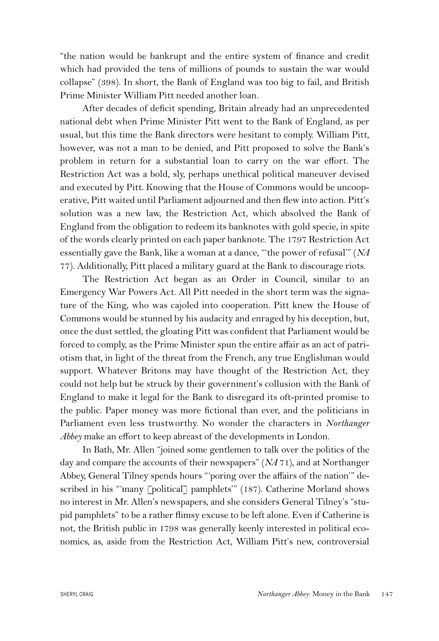"the nation would be bankrupt and the entire system of finance and credit which had provided the tens of millions of pounds to sustain the war would collapse" (398). In short, the Bank of England was too big to fail, and British Prime Minister William Pitt needed another loan.

After decades of deficit spending, Britain already had an unprecedented national debt when Prime Minister Pitt went to the Bank of England, as per usual, but this time the Bank directors were hesitant to comply. William Pitt, however, was not a man to be denied, and Pitt proposed to solve the Bank's problem in return for a substantial loan to carry on the war effort. The Restriction Act was a bold, sly, perhaps unethical political maneuver devised and executed by Pitt. Knowing that the House of Commons would be uncooperative, Pitt waited until Parliament adjourned and then flew into action. Pitt's solution was a new law, the Restriction Act, which absolved the Bank of England from the obligation to redeem its banknotes with gold specie, in spite of the words clearly printed on each paper banknote. The 1797 Restriction Act essentially gave the Bank, like a woman at a dance, "'the power of refusal'" (*NA* 77). Additionally, Pitt placed a military guard at the Bank to discourage riots.

The Restriction Act began as an Order in Council, similar to an Emergency War Powers Act. All Pitt needed in the short term was the signature of the King, who was cajoled into cooperation. Pitt knew the House of Commons would be stunned by his audacity and enraged by his deception, but, once the dust settled, the gloating Pitt was confident that Parliament would be forced to comply, as the Prime Minister spun the entire affair as an act of patriotism that, in light of the threat from the French, any true Englishman would support. Whatever Britons may have thought of the Restriction Act, they could not help but be struck by their government's collusion with the Bank of England to make it legal for the Bank to disregard its oft-printed promise to the public. Paper money was more fictional than ever, and the politicians in Parliament even less trustworthy. No wonder the characters in *Northanger Abbey* make an effort to keep abreast of the developments in London.

In Bath, Mr. Allen "joined some gentlemen to talk over the politics of the day and compare the accounts of their newspapers" (*NA* 71), and at Northanger Abbey, General Tilney spends hours "'poring over the affairs of the nation'" described in his "'many [political] pamphlets'" (187). Catherine Morland shows no interest in Mr. Allen's newspapers, and she considers General Tilney's "stupid pamphlets" to be a rather flimsy excuse to be left alone. Even if Catherine is not, the British public in 1798 was generally keenly interested in political economics, as, aside from the Restriction Act, William Pitt's new, controversial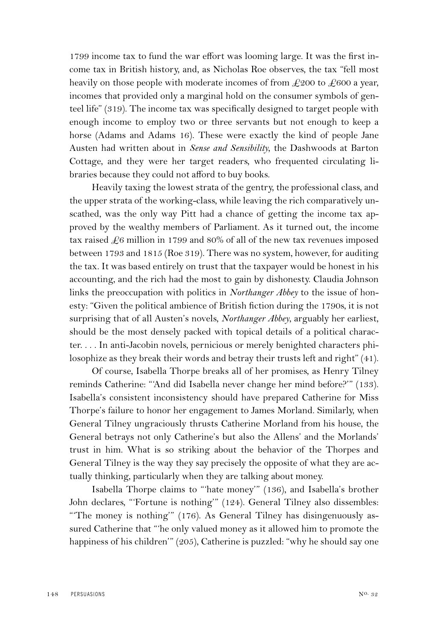1799 income tax to fund the war effort was looming large. It was the first income tax in British history, and, as Nicholas Roe observes, the tax "fell most heavily on those people with moderate incomes of from  $\text{\textsterling}200$  to  $\text{\textsterling}600$  a year, incomes that provided only a marginal hold on the consumer symbols of genteel life" (319). The income tax was specifically designed to target people with enough income to employ two or three servants but not enough to keep a horse (Adams and Adams 16). These were exactly the kind of people Jane Austen had written about in *Sense and Sensibility*, the Dashwoods at Barton Cottage, and they were her target readers, who frequented circulating libraries because they could not afford to buy books.

Heavily taxing the lowest strata of the gentry, the professional class, and the upper strata of the working-class, while leaving the rich comparatively unscathed, was the only way Pitt had a chance of getting the income tax approved by the wealthy members of Parliament. As it turned out, the income tax raised  $\mathcal{L}6$  million in 1799 and 80% of all of the new tax revenues imposed between 1793 and 1815 (Roe 319). There was no system, however, for auditing the tax. It was based entirely on trust that the taxpayer would be honest in his accounting, and the rich had the most to gain by dishonesty. Claudia Johnson links the preoccupation with politics in *Northanger Abbey* to the issue of honesty: "Given the political ambience of British fiction during the 1790s, it is not surprising that of all Austen's novels, *Northanger Abbey*, arguably her earliest, should be the most densely packed with topical details of a political character.... In anti-Jacobin novels, pernicious or merely benighted characters philosophize as they break their words and betray their trusts left and right" (41).

Of course, Isabella Thorpe breaks all of her promises, as Henry Tilney reminds Catherine: "'And did Isabella never change her mind before?'" (133). Isabella's consistent inconsistency should have prepared Catherine for Miss Thorpe's failure to honor her engagement to James Morland. Similarly, when General Tilney ungraciously thrusts Catherine Morland from his house, the General betrays not only Catherine's but also the Allens' and the Morlands' trust in him. What is so striking about the behavior of the Thorpes and General Tilney is the way they say precisely the opposite of what they are actually thinking, particularly when they are talking about money.

Isabella Thorpe claims to "'hate money'" (136), and Isabella's brother John declares, "'Fortune is nothing'" (124). General Tilney also dissembles: "The money is nothing" (176). As General Tilney has disingenuously assured Catherine that "'he only valued money as it allowed him to promote the happiness of his children'" (205), Catherine is puzzled: "why he should say one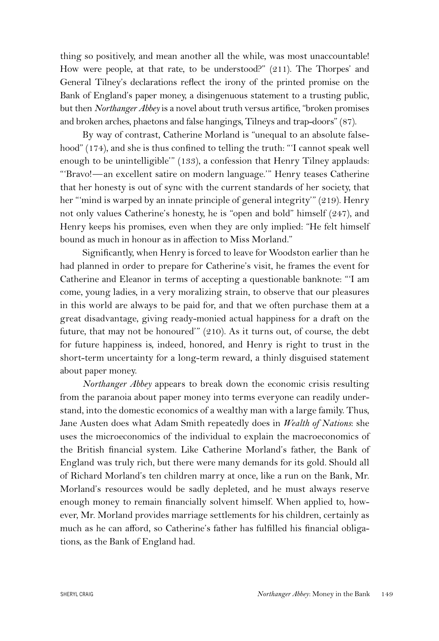thing so positively, and mean another all the while, was most unaccountable! How were people, at that rate, to be understood?" (211). The Thorpes' and General Tilney's declarations reflect the irony of the printed promise on the Bank of England's paper money, a disingenuous statement to a trusting public, but then *Northanger Abbey* is a novel about truth versus artifice, "broken promises and broken arches, phaetons and false hangings, Tilneys and trap-doors" (87).

By way of contrast, Catherine Morland is "unequal to an absolute falsehood" (174), and she is thus confined to telling the truth: "'I cannot speak well enough to be unintelligible'" (133), a confession that Henry Tilney applauds: "'Bravo!—an excellent satire on modern language.'" Henry teases Catherine that her honesty is out of sync with the current standards of her society, that her "'mind is warped by an innate principle of general integrity'" (219). Henry not only values Catherine's honesty, he is "open and bold" himself (247), and Henry keeps his promises, even when they are only implied: "He felt himself bound as much in honour as in affection to Miss Morland."

Significantly, when Henry is forced to leave for Woodston earlier than he had planned in order to prepare for Catherine's visit, he frames the event for Catherine and Eleanor in terms of accepting a questionable banknote: "'I am come, young ladies, in a very moralizing strain, to observe that our pleasures in this world are always to be paid for, and that we often purchase them at a great disadvantage, giving ready-monied actual happiness for a draft on the future, that may not be honoured'" (210). As it turns out, of course, the debt for future happiness is, indeed, honored, and Henry is right to trust in the short-term uncertainty for a long-term reward, a thinly disguised statement about paper money.

*Northanger Abbey* appears to break down the economic crisis resulting from the paranoia about paper money into terms everyone can readily understand, into the domestic economics of a wealthy man with a large family. Thus, Jane Austen does what Adam Smith repeatedly does in *Wealth of Nations*: she uses the microeconomics of the individual to explain the macroeconomics of the British financial system. Like Catherine Morland's father, the Bank of England was truly rich, but there were many demands for its gold. Should all of Richard Morland's ten children marry at once, like a run on the Bank, Mr. Morland's resources would be sadly depleted, and he must always reserve enough money to remain financially solvent himself. When applied to, however, Mr. Morland provides marriage settlements for his children, certainly as much as he can afford, so Catherine's father has fulfilled his financial obligations, as the Bank of England had.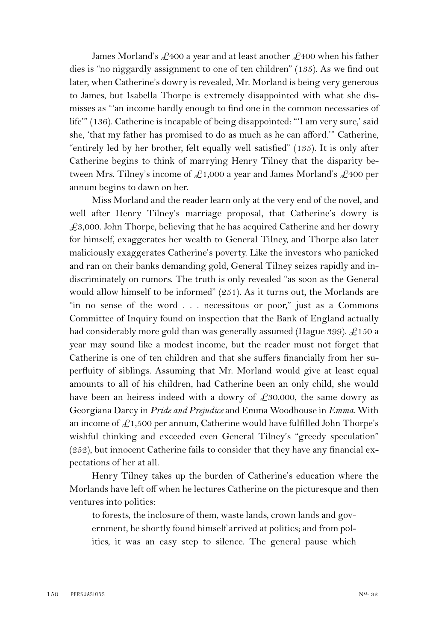James Morland's £400 a year and at least another £400 when his father dies is "no niggardly assignment to one of ten children" (135). As we find out later, when Catherine's dowry is revealed, Mr. Morland is being very generous to James, but Isabella Thorpe is extremely disappointed with what she dismisses as "'an income hardly enough to find one in the common necessaries of life'" (136). Catherine is incapable of being disappointed: "'I am very sure,' said she, 'that my father has promised to do as much as he can afford.'" Catherine, "entirely led by her brother, felt equally well satisfied" (135). It is only after Catherine begins to think of marrying Henry Tilney that the disparity between Mrs. Tilney's income of £1,000 a year and James Morland's £400 per annum begins to dawn on her.

Miss Morland and the reader learn only at the very end of the novel, and well after Henry Tilney's marriage proposal, that Catherine's dowry is  $£3,000.$  John Thorpe, believing that he has acquired Catherine and her dowry for himself, exaggerates her wealth to General Tilney, and Thorpe also later maliciously exaggerates Catherine's poverty. Like the investors who panicked and ran on their banks demanding gold, General Tilney seizes rapidly and indiscriminately on rumors. The truth is only revealed "as soon as the General would allow himself to be informed" (251). As it turns out, the Morlands are "in no sense of the word . . . necessitous or poor," just as a Commons Committee of Inquiry found on inspection that the Bank of England actually had considerably more gold than was generally assumed (Hague 399).  $\mathcal{L}$ 150 a year may sound like a modest income, but the reader must not forget that Catherine is one of ten children and that she suffers financially from her superfluity of siblings. Assuming that Mr. Morland would give at least equal amounts to all of his children, had Catherine been an only child, she would have been an heiress indeed with a dowry of  $\text{\textsterling}30,000$ , the same dowry as Georgiana Darcy in *Pride and Prejudice* and Emma Woodhouse in *Emma*. With an income of  $\mathcal{L}1,500$  per annum, Catherine would have fulfilled John Thorpe's wishful thinking and exceeded even General Tilney's "greedy speculation" (252), but innocent Catherine fails to consider that they have any financial expectations of her at all.

Henry Tilney takes up the burden of Catherine's education where the Morlands have left off when he lectures Catherine on the picturesque and then ventures into politics:

to forests, the inclosure of them, waste lands, crown lands and government, he shortly found himself arrived at politics; and from politics, it was an easy step to silence. The general pause which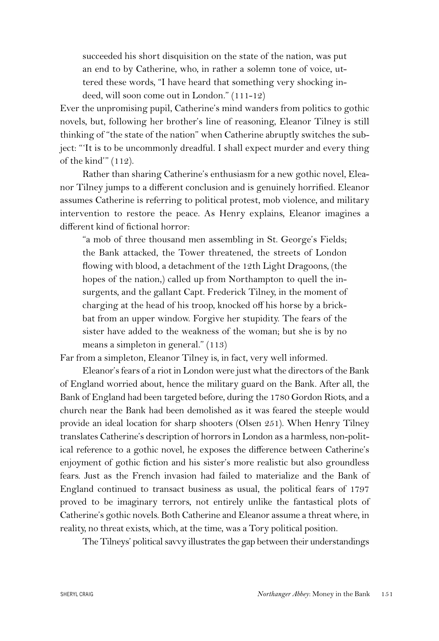succeeded his short disquisition on the state of the nation, was put an end to by Catherine, who, in rather a solemn tone of voice, uttered these words, "I have heard that something very shocking indeed, will soon come out in London." (111-12)

Ever the unpromising pupil, Catherine's mind wanders from politics to gothic novels, but, following her brother's line of reasoning, Eleanor Tilney is still thinking of "the state of the nation" when Catherine abruptly switches the subject: "'It is to be uncommonly dreadful. I shall expect murder and every thing of the kind'" (112).

Rather than sharing Catherine's enthusiasm for a new gothic novel, Eleanor Tilney jumps to a different conclusion and is genuinely horrified. Eleanor assumes Catherine is referring to political protest, mob violence, and military intervention to restore the peace. As Henry explains, Eleanor imagines a different kind of fictional horror:

"a mob of three thousand men assembling in St. George's Fields; the Bank attacked, the Tower threatened, the streets of London flowing with blood, a detachment of the 12th Light Dragoons, (the hopes of the nation,) called up from Northampton to quell the insurgents, and the gallant Capt. Frederick Tilney, in the moment of charging at the head of his troop, knocked off his horse by a brickbat from an upper window. Forgive her stupidity. The fears of the sister have added to the weakness of the woman; but she is by no means a simpleton in general." (113)

Far from a simpleton, Eleanor Tilney is, in fact, very well informed.

Eleanor's fears of a riot in London were just what the directors of the Bank of England worried about, hence the military guard on the Bank. After all, the Bank of England had been targeted before, during the 1780 Gordon Riots, and a church near the Bank had been demolished as it was feared the steeple would provide an ideal location for sharp shooters (Olsen 251). When Henry Tilney translates Catherine's description of horrorsin London as a harmless, non-political reference to a gothic novel, he exposes the difference between Catherine's enjoyment of gothic fiction and his sister's more realistic but also groundless fears. Just as the French invasion had failed to materialize and the Bank of England continued to transact business as usual, the political fears of 1797 proved to be imaginary terrors, not entirely unlike the fantastical plots of Catherine's gothic novels. Both Catherine and Eleanor assume a threat where, in reality, no threat exists, which, at the time, was a Tory political position.

The Tilneys' political savvy illustrates the gap between their understandings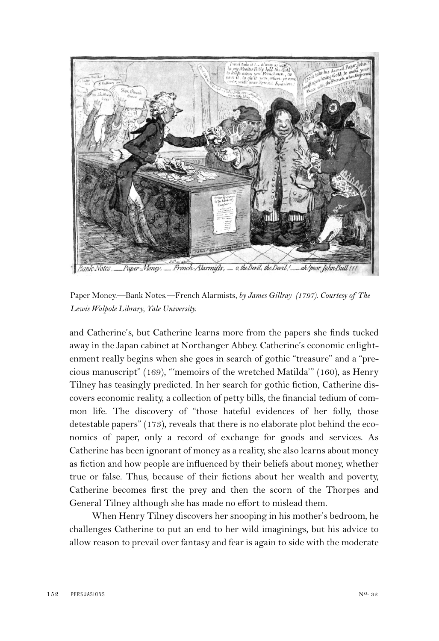

Paper Money.—Bank Notes.—French Alarmists*, by James Gillray (1797). Courtesy of The Lewis Walpole Library, Yale University.*

and Catherine's, but Catherine learns more from the papers she finds tucked away in the Japan cabinet at Northanger Abbey. Catherine's economic enlightenment really begins when she goes in search of gothic "treasure" and a "precious manuscript" (169), "'memoirs of the wretched Matilda'" (160), as Henry Tilney has teasingly predicted. In her search for gothic fiction, Catherine discovers economic reality, a collection of petty bills, the financial tedium of common life. The discovery of "those hateful evidences of her folly, those detestable papers" (173), reveals that there is no elaborate plot behind the economics of paper, only a record of exchange for goods and services. As Catherine has been ignorant of money as a reality, she also learns about money as fiction and how people are influenced by their beliefs about money, whether true or false. Thus, because of their fictions about her wealth and poverty, Catherine becomes first the prey and then the scorn of the Thorpes and General Tilney although she has made no effort to mislead them.

When Henry Tilney discovers her snooping in his mother's bedroom, he challenges Catherine to put an end to her wild imaginings, but his advice to allow reason to prevail over fantasy and fear is again to side with the moderate